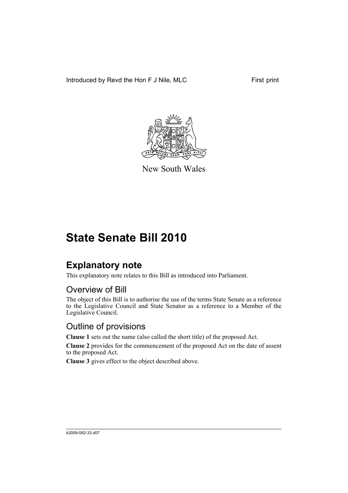Introduced by Revd the Hon F J Nile, MLC First print



New South Wales

# **State Senate Bill 2010**

### **Explanatory note**

This explanatory note relates to this Bill as introduced into Parliament.

#### Overview of Bill

The object of this Bill is to authorise the use of the terms State Senate as a reference to the Legislative Council and State Senator as a reference to a Member of the Legislative Council.

#### Outline of provisions

**Clause 1** sets out the name (also called the short title) of the proposed Act.

**Clause 2** provides for the commencement of the proposed Act on the date of assent to the proposed Act.

**Clause 3** gives effect to the object described above.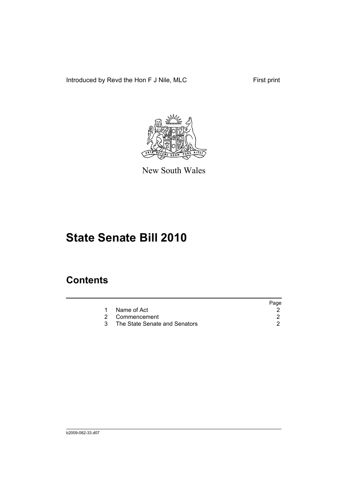Introduced by Revd the Hon F J Nile, MLC First print



New South Wales

# **State Senate Bill 2010**

### **Contents**

|                               | Page |
|-------------------------------|------|
| 1 Name of Act                 |      |
| 2 Commencement                |      |
| The State Senate and Senators |      |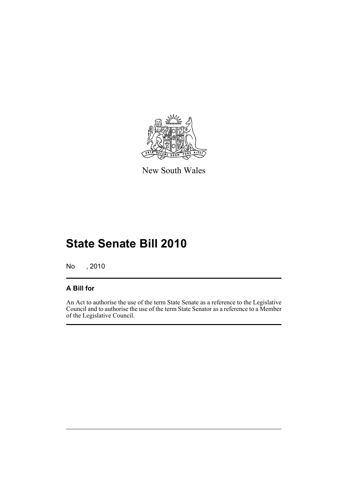

New South Wales

# **State Senate Bill 2010**

No , 2010

#### **A Bill for**

An Act to authorise the use of the term State Senate as a reference to the Legislative Council and to authorise the use of the term State Senator as a reference to a Member of the Legislative Council.